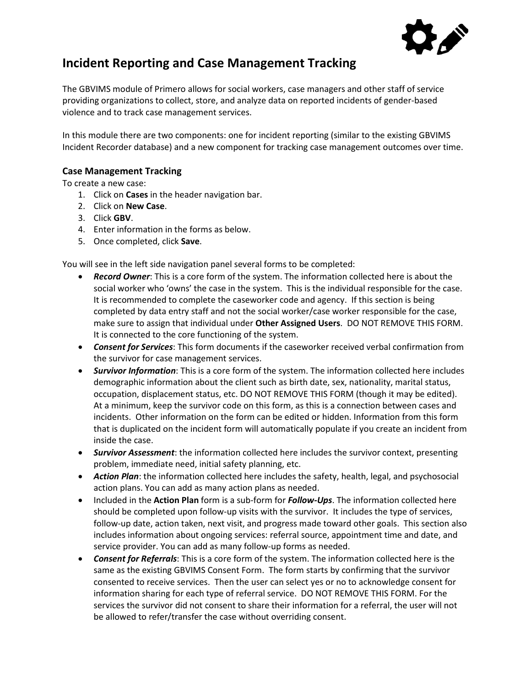

# **Incident Reporting and Case Management Tracking**

The GBVIMS module of Primero allows for social workers, case managers and other staff of service providing organizations to collect, store, and analyze data on reported incidents of gender-based violence and to track case management services.

In this module there are two components: one for incident reporting (similar to the existing GBVIMS Incident Recorder database) and a new component for tracking case management outcomes over time.

# **Case Management Tracking**

To create a new case:

- 1. Click on **Cases** in the header navigation bar.
- 2. Click on **New Case**.
- 3. Click **GBV**.
- 4. Enter information in the forms as below.
- 5. Once completed, click **Save**.

You will see in the left side navigation panel several forms to be completed:

- *Record Owner*: This is a core form of the system. The information collected here is about the social worker who 'owns' the case in the system. This is the individual responsible for the case. It is recommended to complete the caseworker code and agency. If this section is being completed by data entry staff and not the social worker/case worker responsible for the case, make sure to assign that individual under **Other Assigned Users**. DO NOT REMOVE THIS FORM. It is connected to the core functioning of the system.
- *Consent for Services*: This form documents if the caseworker received verbal confirmation from the survivor for case management services.
- *Survivor Information*: This is a core form of the system. The information collected here includes demographic information about the client such as birth date, sex, nationality, marital status, occupation, displacement status, etc. DO NOT REMOVE THIS FORM (though it may be edited). At a minimum, keep the survivor code on this form, as this is a connection between cases and incidents. Other information on the form can be edited or hidden. Information from this form that is duplicated on the incident form will automatically populate if you create an incident from inside the case.
- *Survivor Assessment*: the information collected here includes the survivor context, presenting problem, immediate need, initial safety planning, etc.
- *Action Plan*: the information collected here includes the safety, health, legal, and psychosocial action plans. You can add as many action plans as needed.
- Included in the **Action Plan** form is a sub-form for *Follow-Ups*. The information collected here should be completed upon follow-up visits with the survivor. It includes the type of services, follow-up date, action taken, next visit, and progress made toward other goals. This section also includes information about ongoing services: referral source, appointment time and date, and service provider. You can add as many follow-up forms as needed.
- *Consent for Referrals*: This is a core form of the system. The information collected here is the same as the existing GBVIMS Consent Form. The form starts by confirming that the survivor consented to receive services. Then the user can select yes or no to acknowledge consent for information sharing for each type of referral service. DO NOT REMOVE THIS FORM. For the services the survivor did not consent to share their information for a referral, the user will not be allowed to refer/transfer the case without overriding consent.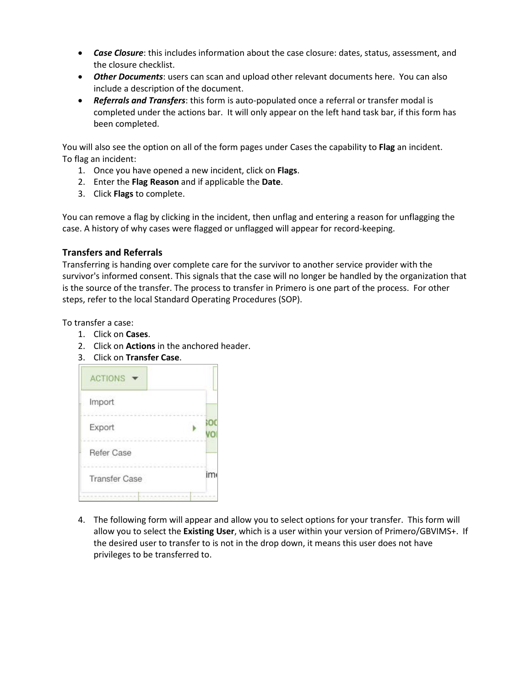- *Case Closure*: this includes information about the case closure: dates, status, assessment, and the closure checklist.
- *Other Documents*: users can scan and upload other relevant documents here. You can also include a description of the document.
- *Referrals and Transfers*: this form is auto-populated once a referral or transfer modal is completed under the actions bar. It will only appear on the left hand task bar, if this form has been completed.

You will also see the option on all of the form pages under Cases the capability to **Flag** an incident. To flag an incident:

- 1. Once you have opened a new incident, click on **Flags**.
- 2. Enter the **Flag Reason** and if applicable the **Date**.
- 3. Click **Flags** to complete.

You can remove a flag by clicking in the incident, then unflag and entering a reason for unflagging the case. A history of why cases were flagged or unflagged will appear for record-keeping.

## **Transfers and Referrals**

Transferring is handing over complete care for the survivor to another service provider with the survivor's informed consent. This signals that the case will no longer be handled by the organization that is the source of the transfer. The process to transfer in Primero is one part of the process. For other steps, refer to the local Standard Operating Procedures (SOP).

To transfer a case:

- 1. Click on **Cases**.
- 2. Click on **Actions** in the anchored header.
- 3. Click on **Transfer Case**.

| <b>ACTIONS</b>       |    |
|----------------------|----|
| Import               |    |
| Export               |    |
| Refer Case           |    |
| <b>Transfer Case</b> | im |
|                      |    |

4. The following form will appear and allow you to select options for your transfer. This form will allow you to select the **Existing User**, which is a user within your version of Primero/GBVIMS+. If the desired user to transfer to is not in the drop down, it means this user does not have privileges to be transferred to.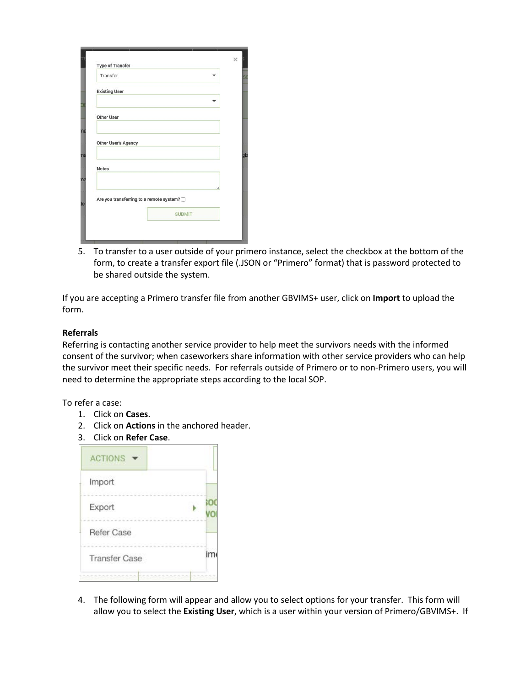| Transfer             |                                          |  |
|----------------------|------------------------------------------|--|
|                      |                                          |  |
| <b>Existing User</b> |                                          |  |
|                      |                                          |  |
| <b>Other User</b>    |                                          |  |
|                      |                                          |  |
|                      |                                          |  |
| Other User's Agency  |                                          |  |
|                      |                                          |  |
| <b>Notes</b>         |                                          |  |
|                      |                                          |  |
|                      |                                          |  |
|                      | Are you transferring to a remote system? |  |
|                      |                                          |  |
|                      | <b>SUBMIT</b>                            |  |

5. To transfer to a user outside of your primero instance, select the checkbox at the bottom of the form, to create a transfer export file (.JSON or "Primero" format) that is password protected to be shared outside the system.

If you are accepting a Primero transfer file from another GBVIMS+ user, click on **Import** to upload the form.

#### **Referrals**

Referring is contacting another service provider to help meet the survivors needs with the informed consent of the survivor; when caseworkers share information with other service providers who can help the survivor meet their specific needs. For referrals outside of Primero or to non-Primero users, you will need to determine the appropriate steps according to the local SOP.

To refer a case:

- 1. Click on **Cases**.
- 2. Click on **Actions** in the anchored header.
- 3. Click on **Refer Case**.

| <b>ACTIONS</b>                                  |         |
|-------------------------------------------------|---------|
| Import                                          |         |
| Export<br>i Toll De Constitution (Constitution) |         |
| Refer Case                                      |         |
| <b>STATISTICS</b><br><b>Transfer Case</b>       | システィックス |
|                                                 |         |

4. The following form will appear and allow you to select options for your transfer. This form will allow you to select the **Existing User**, which is a user within your version of Primero/GBVIMS+. If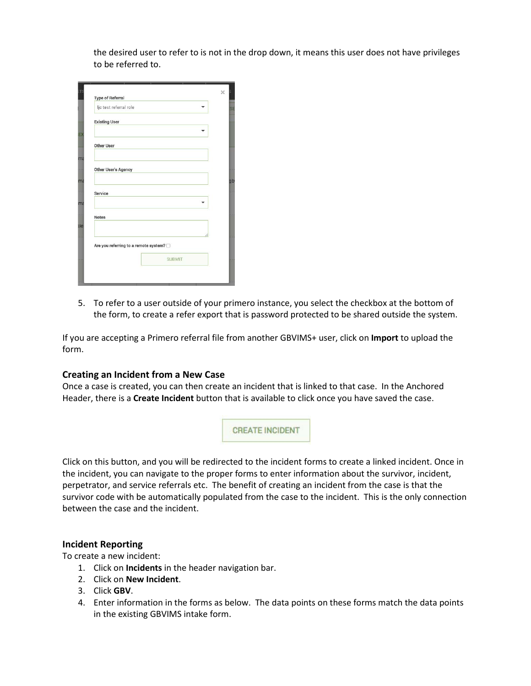the desired user to refer to is not in the drop down, it means this user does not have privileges to be referred to.

| <b>Type of Referral</b>               |               |  |
|---------------------------------------|---------------|--|
| ljc test referral role                |               |  |
| <b>Existing User</b>                  |               |  |
|                                       |               |  |
| <b>Other User</b>                     |               |  |
|                                       |               |  |
| Other User's Agency                   |               |  |
|                                       |               |  |
| Service                               |               |  |
|                                       |               |  |
| <b>Notes</b>                          |               |  |
|                                       |               |  |
|                                       |               |  |
| Are you referring to a remote system? |               |  |
|                                       | <b>SUBMIT</b> |  |

5. To refer to a user outside of your primero instance, you select the checkbox at the bottom of the form, to create a refer export that is password protected to be shared outside the system.

If you are accepting a Primero referral file from another GBVIMS+ user, click on **Import** to upload the form.

## **Creating an Incident from a New Case**

Once a case is created, you can then create an incident that is linked to that case. In the Anchored Header, there is a **Create Incident** button that is available to click once you have saved the case.

**CREATE INCIDENT** 

Click on this button, and you will be redirected to the incident forms to create a linked incident. Once in the incident, you can navigate to the proper forms to enter information about the survivor, incident, perpetrator, and service referrals etc. The benefit of creating an incident from the case is that the survivor code with be automatically populated from the case to the incident. This is the only connection between the case and the incident.

#### **Incident Reporting**

To create a new incident:

- 1. Click on **Incidents** in the header navigation bar.
- 2. Click on **New Incident**.
- 3. Click **GBV**.
- 4. Enter information in the forms as below. The data points on these forms match the data points in the existing GBVIMS intake form.